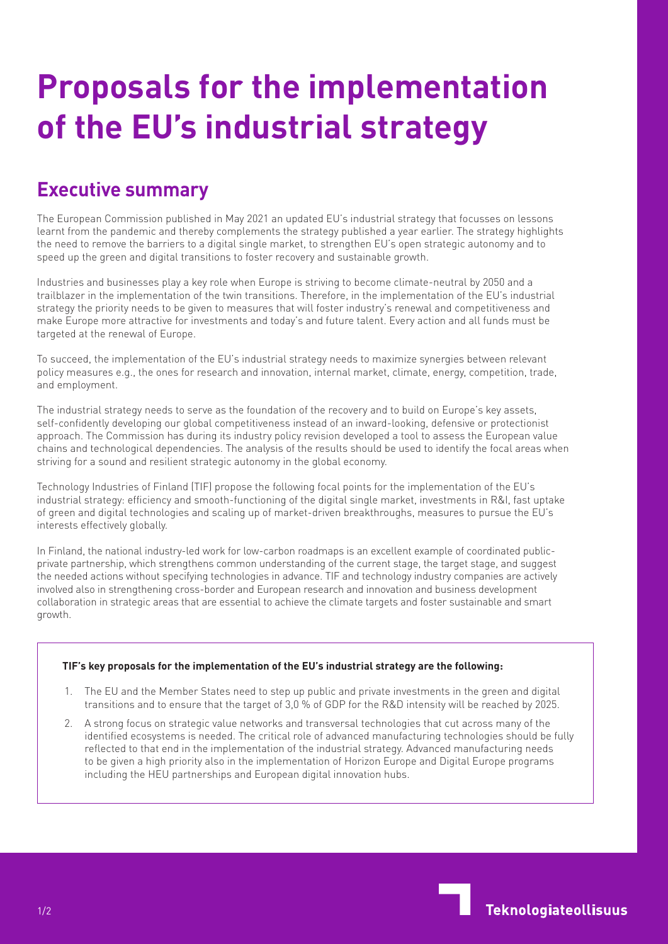## **Proposals for the implementation of the EU's industrial strategy**

## **Executive summary**

The European Commission published in May 2021 an updated EU's industrial strategy that focusses on lessons learnt from the pandemic and thereby complements the strategy published a year earlier. The strategy highlights the need to remove the barriers to a digital single market, to strengthen EU's open strategic autonomy and to speed up the green and digital transitions to foster recovery and sustainable growth.

Industries and businesses play a key role when Europe is striving to become climate-neutral by 2050 and a trailblazer in the implementation of the twin transitions. Therefore, in the implementation of the EU's industrial strategy the priority needs to be given to measures that will foster industry's renewal and competitiveness and make Europe more attractive for investments and today's and future talent. Every action and all funds must be targeted at the renewal of Europe.

To succeed, the implementation of the EU's industrial strategy needs to maximize synergies between relevant policy measures e.g., the ones for research and innovation, internal market, climate, energy, competition, trade, and employment.

The industrial strategy needs to serve as the foundation of the recovery and to build on Europe's key assets, self-confidently developing our global competitiveness instead of an inward-looking, defensive or protectionist approach. The Commission has during its industry policy revision developed a tool to assess the European value chains and technological dependencies. The analysis of the results should be used to identify the focal areas when striving for a sound and resilient strategic autonomy in the global economy.

Technology Industries of Finland (TIF) propose the following focal points for the implementation of the EU's industrial strategy: efficiency and smooth-functioning of the digital single market, investments in R&I, fast uptake of green and digital technologies and scaling up of market-driven breakthroughs, measures to pursue the EU's interests effectively globally.

In Finland, the national industry-led work for low-carbon roadmaps is an excellent example of coordinated publicprivate partnership, which strengthens common understanding of the current stage, the target stage, and suggest the needed actions without specifying technologies in advance. TIF and technology industry companies are actively involved also in strengthening cross-border and European research and innovation and business development collaboration in strategic areas that are essential to achieve the climate targets and foster sustainable and smart growth.

## **TIF's key proposals for the implementation of the EU's industrial strategy are the following:**

- 1. The EU and the Member States need to step up public and private investments in the green and digital transitions and to ensure that the target of 3,0 % of GDP for the R&D intensity will be reached by 2025.
- 2. A strong focus on strategic value networks and transversal technologies that cut across many of the identified ecosystems is needed. The critical role of advanced manufacturing technologies should be fully reflected to that end in the implementation of the industrial strategy. Advanced manufacturing needs to be given a high priority also in the implementation of Horizon Europe and Digital Europe programs including the HEU partnerships and European digital innovation hubs.